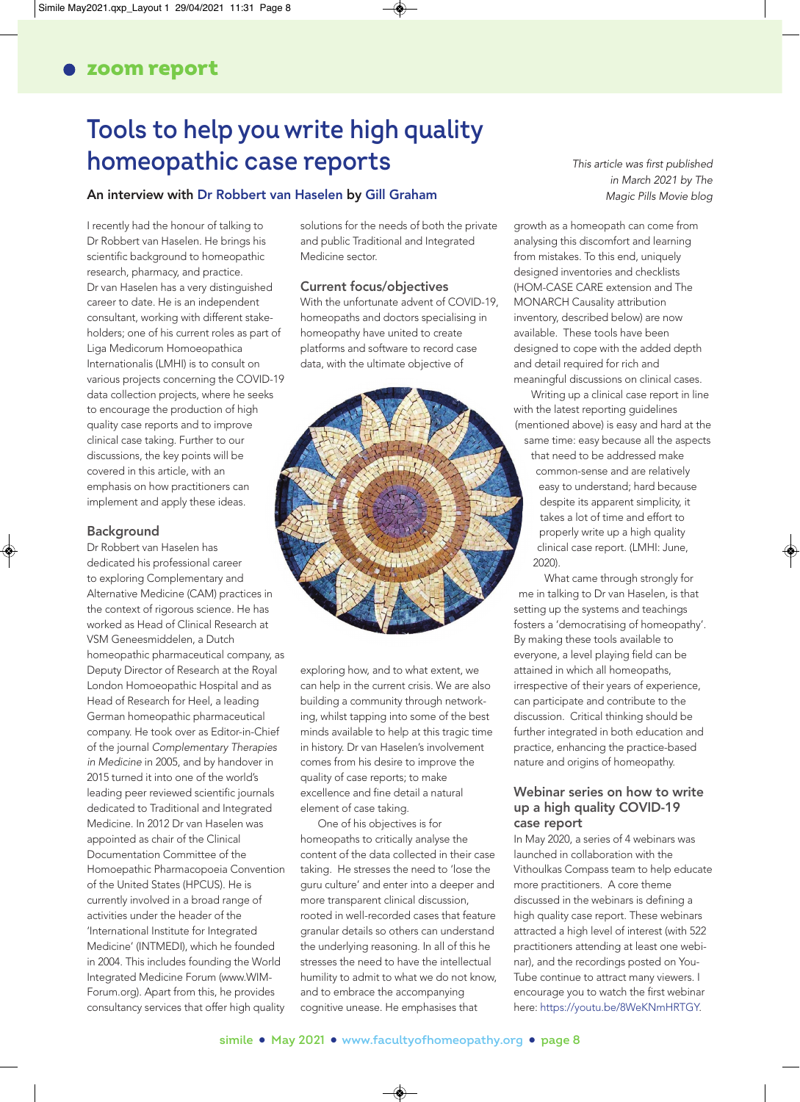# **Tools to help you write high quality homeopathic case reports**

#### An interview with Dr Robbert van Haselen by Gill Graham Magic Pills Movie blog

I recently had the honour of talking to Dr Robbert van Haselen. He brings his scientific background to homeopathic research, pharmacy, and practice. Dr van Haselen has a very distinguished career to date. He is an independent consultant, working with different stakeholders; one of his current roles as part of Liga Medicorum Homoeopathica Internationalis (LMHI) is to consult on various projects concerning the COVID-19 data collection projects, where he seeks to encourage the production of high quality case reports and to improve clinical case taking. Further to our discussions, the key points will be covered in this article, with an emphasis on how practitioners can implement and apply these ideas.

#### Background

Dr Robbert van Haselen has dedicated his professional career to exploring Complementary and Alternative Medicine (CAM) practices in the context of rigorous science. He has worked as Head of Clinical Research at VSM Geneesmiddelen, a Dutch homeopathic pharmaceutical company, as Deputy Director of Research at the Royal London Homoeopathic Hospital and as Head of Research for Heel, a leading German homeopathic pharmaceutical company. He took over as Editor-in-Chief of the journal Complementary Therapies in Medicine in 2005, and by handover in 2015 turned it into one of the world's leading peer reviewed scientific journals dedicated to Traditional and Integrated Medicine. In 2012 Dr van Haselen was appointed as chair of the Clinical Documentation Committee of the Homoepathic Pharmacopoeia Convention of the United States (HPCUS). He is currently involved in a broad range of activities under the header of the 'International Institute for Integrated Medicine' (INTMEDI), which he founded in 2004. This includes founding the World Integrated Medicine Forum [\(www.WI](http://www.WIM�Forum.org)M-[Forum.org\). Apart from this, he provides](http://www.WIM�Forum.org) consultancy services that offer high quality solutions for the needs of both the private and public Traditional and Integrated Medicine sector.

#### Current focus/objectives

With the unfortunate advent of COVID-19, homeopaths and doctors specialising in homeopathy have united to create platforms and software to record case data, with the ultimate objective of



exploring how, and to what extent, we can help in the current crisis. We are also building a community through networking, whilst tapping into some of the best minds available to help at this tragic time in history. Dr van Haselen's involvement comes from his desire to improve the quality of case reports; to make excellence and fine detail a natural element of case taking.

One of his objectives is for homeopaths to critically analyse the content of the data collected in their case taking. He stresses the need to 'lose the guru culture' and enter into a deeper and more transparent clinical discussion, rooted in well-recorded cases that feature granular details so others can understand the underlying reasoning. In all of this he stresses the need to have the intellectual humility to admit to what we do not know, and to embrace the accompanying cognitive unease. He emphasises that

This article was first published in March 2021 by The

growth as a homeopath can come from analysing this discomfort and learning from mistakes. To this end, uniquely designed inventories and checklists (HOM-CASE CARE extension and The MONARCH Causality attribution inventory, described below) are now available. These tools have been designed to cope with the added depth and detail required for rich and meaningful discussions on clinical cases.

Writing up a clinical case report in line with the latest reporting guidelines (mentioned above) is easy and hard at the

same time: easy because all the aspects that need to be addressed make common-sense and are relatively easy to understand; hard because despite its apparent simplicity, it takes a lot of time and effort to properly write up a high quality clinical case report. (LMHI: June, 2020).

What came through strongly for me in talking to Dr van Haselen, is that setting up the systems and teachings fosters a 'democratising of homeopathy'. By making these tools available to everyone, a level playing field can be attained in which all homeopaths, irrespective of their years of experience, can participate and contribute to the discussion. Critical thinking should be further integrated in both education and practice, enhancing the practice-based nature and origins of homeopathy.

#### Webinar series on how to write up a high quality COVID-19 case report

In May 2020, a series of 4 webinars was launched in collaboration with the Vithoulkas Compass team to help educate more practitioners. A core theme discussed in the webinars is defining a high quality case report. These webinars attracted a high level of interest (with 522 practitioners attending at least one webinar), and the recordings posted on You-Tube continue to attract many viewers. I encourage you to watch the first webinar here: [https://youtu.be/8WeKNmHRTGY.](https://youtu.be/8WeKNmHRTGY)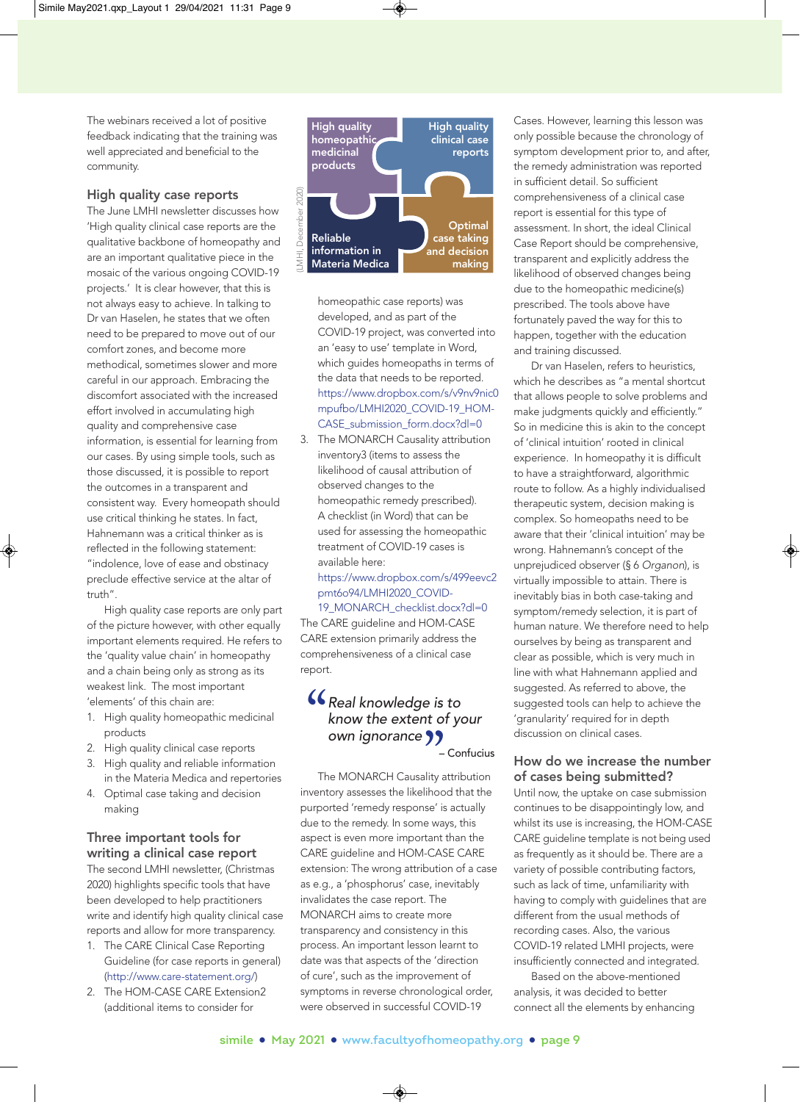The webinars received a lot of positive feedback indicating that the training was well appreciated and beneficial to the community.

#### High quality case reports

The June LMHI newsletter discusses how 'High quality clinical case reports are the qualitative backbone of homeopathy and are an important qualitative piece in the mosaic of the various ongoing COVID-19 projects.' It is clear however, that this is not always easy to achieve. In talking to Dr van Haselen, he states that we often need to be prepared to move out of our comfort zones, and become more methodical, sometimes slower and more careful in our approach. Embracing the discomfort associated with the increased effort involved in accumulating high quality and comprehensive case information, is essential for learning from our cases. By using simple tools, such as those discussed, it is possible to report the outcomes in a transparent and consistent way. Every homeopath should use critical thinking he states. In fact, Hahnemann was a critical thinker as is reflected in the following statement: "indolence, love of ease and obstinacy preclude effective service at the altar of truth".

High quality case reports are only part of the picture however, with other equally important elements required. He refers to the 'quality value chain' in homeopathy and a chain being only as strong as its weakest link. The most important 'elements' of this chain are:

- 1. High quality homeopathic medicinal products
- 2. High quality clinical case reports
- 3. High quality and reliable information in the Materia Medica and repertories
- 4. Optimal case taking and decision making

### Three important tools for writing a clinical case report

The second LMHI newsletter, (Christmas 2020) highlights specific tools that have been developed to help practitioners write and identify high quality clinical case reports and allow for more transparency.

- 1. The CARE Clinical Case Reporting Guideline (for case reports in general) ([http://www.care-statement.org/\)](http://www.care-statement.org/)
- 2. The HOM-CASE CARE Extension2 (additional items to consider for



homeopathic case reports) was developed, and as part of the COVID-19 project, was converted into an 'easy to use' template in Word, which guides homeopaths in terms of the data that needs to be reported. [https://www.dropbox.com/s/v9nv9nic0](https://www.dropbox.com/s/v9nv9nic0mpufbo/LMHI2020_COVID-19_HOM-CASE_submission_form.docx?dl=0) mpufbo[/LMHI2020\\_COVID-19\\_HOM-](https://www.dropbox.com/s/v9nv9nic0mpufbo/LMHI2020_COVID-19_HOM-CASE_submission_form.docx?dl=0)[CASE\\_submission\\_form.docx?dl=0](https://www.dropbox.com/s/v9nv9nic0mpufbo/LMHI2020_COVID-19_HOM-CASE_submission_form.docx?dl=0)

3. The MONARCH Causality attribution inventory3 (items to assess the likelihood of causal attribution of observed changes to the homeopathic remedy prescribed). A checklist (in Word) that can be used for assessing the homeopathic treatment of COVID-19 cases is available here:

[https://www.dropbox.com/s/499eevc2](https://www.dropbox.com/s/499eevc2pmt6o94/LMHI2020_COVID-19_MONARCH_checklist.docx?dl=0) pmt6o94[/LMHI2020\\_COVID-](https://www.dropbox.com/s/499eevc2pmt6o94/LMHI2020_COVID-19_MONARCH_checklist.docx?dl=0)

[19\\_MONARCH\\_checklist.docx?dl=0](https://www.dropbox.com/s/499eevc2pmt6o94/LMHI2020_COVID-19_MONARCH_checklist.docx?dl=0) The CARE guideline and HOM-CASE CARE extension primarily address the comprehensiveness of a clinical case report.

## .<br>" nt o<br>**99**<br>... Real knowledge is to know the extent of your own ignorance

– Confucius

The MONARCH Causality attribution inventory assesses the likelihood that the purported 'remedy response' is actually due to the remedy. In some ways, this aspect is even more important than the CARE guideline and HOM-CASE CARE extension: The wrong attribution of a case as e.g., a 'phosphorus' case, inevitably invalidates the case report. The MONARCH aims to create more transparency and consistency in this process. An important lesson learnt to date was that aspects of the 'direction of cure', such as the improvement of symptoms in reverse chronological order, were observed in successful COVID-19

Cases. However, learning this lesson was only possible because the chronology of symptom development prior to, and after, the remedy administration was reported in sufficient detail. So sufficient comprehensiveness of a clinical case report is essential for this type of assessment. In short, the ideal Clinical Case Report should be comprehensive, transparent and explicitly address the likelihood of observed changes being due to the homeopathic medicine(s) prescribed. The tools above have fortunately paved the way for this to happen, together with the education and training discussed.

Dr van Haselen, refers to heuristics, which he describes as "a mental shortcut that allows people to solve problems and make judgments quickly and efficiently." So in medicine this is akin to the concept of 'clinical intuition' rooted in clinical experience. In homeopathy it is difficult to have a straightforward, algorithmic route to follow. As a highly individualised therapeutic system, decision making is complex. So homeopaths need to be aware that their 'clinical intuition' may be wrong. Hahnemann's concept of the unprejudiced observer (§ 6 Organon), is virtually impossible to attain. There is inevitably bias in both case-taking and symptom/remedy selection, it is part of human nature. We therefore need to help ourselves by being as transparent and clear as possible, which is very much in line with what Hahnemann applied and suggested. As referred to above, the suggested tools can help to achieve the 'granularity' required for in depth discussion on clinical cases.

#### How do we increase the number of cases being submitted?

Until now, the uptake on case submission continues to be disappointingly low, and whilst its use is increasing, the HOM-CASE CARE guideline template is not being used as frequently as it should be. There are a variety of possible contributing factors, such as lack of time, unfamiliarity with having to comply with guidelines that are different from the usual methods of recording cases. Also, the various COVID-19 related LMHI projects, were insufficiently connected and integrated.

Based on the above-mentioned analysis, it was decided to better connect all the elements by enhancing